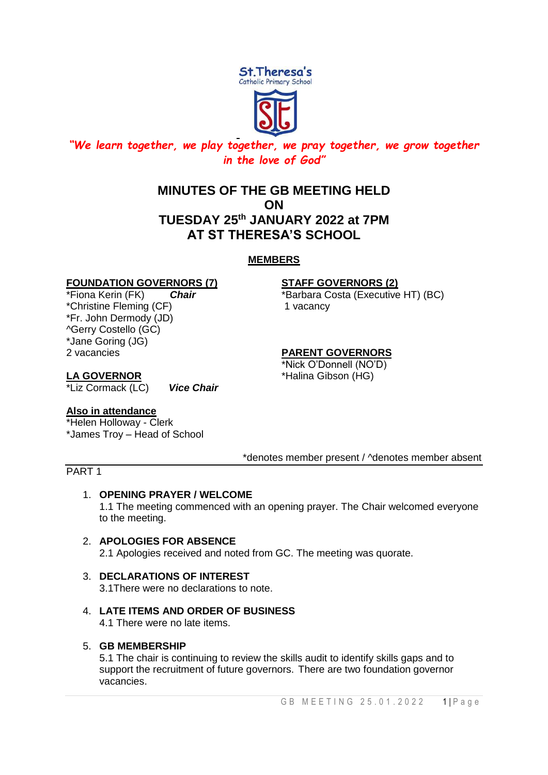

# *"We learn together, we play together, we pray together, we grow together in the love of God"*

# **MINUTES OF THE GB MEETING HELD ON TUESDAY 25th JANUARY 2022 at 7PM AT ST THERESA'S SCHOOL**

# **MEMBERS**

# **FOUNDATION GOVERNORS (7) STAFF GOVERNORS (2)**

\*Christine Fleming (CF) 1 vacancy \*Fr. John Dermody (JD) ^Gerry Costello (GC) \*Jane Goring (JG) 2 vacancies **PARENT GOVERNORS**

\*Fiona Kerin (FK) *Chair* \*Barbara Costa (Executive HT) (BC)

\*Nick O'Donnell (NO'D) **LA GOVERNOR** \*Halina Gibson (HG)

\*Liz Cormack (LC) *Vice Chair*

# **Also in attendance**

\*Helen Holloway - Clerk \*James Troy – Head of School

# \*denotes member present / ^denotes member absent

# PART 1

# 1. **OPENING PRAYER / WELCOME**

1.1 The meeting commenced with an opening prayer. The Chair welcomed everyone to the meeting.

- 2. **APOLOGIES FOR ABSENCE** 2.1 Apologies received and noted from GC. The meeting was quorate.
- 3. **DECLARATIONS OF INTEREST** 3.1There were no declarations to note.
- 4. **LATE ITEMS AND ORDER OF BUSINESS** 4.1 There were no late items.

# 5. **GB MEMBERSHIP**

5.1 The chair is continuing to review the skills audit to identify skills gaps and to support the recruitment of future governors. There are two foundation governor vacancies.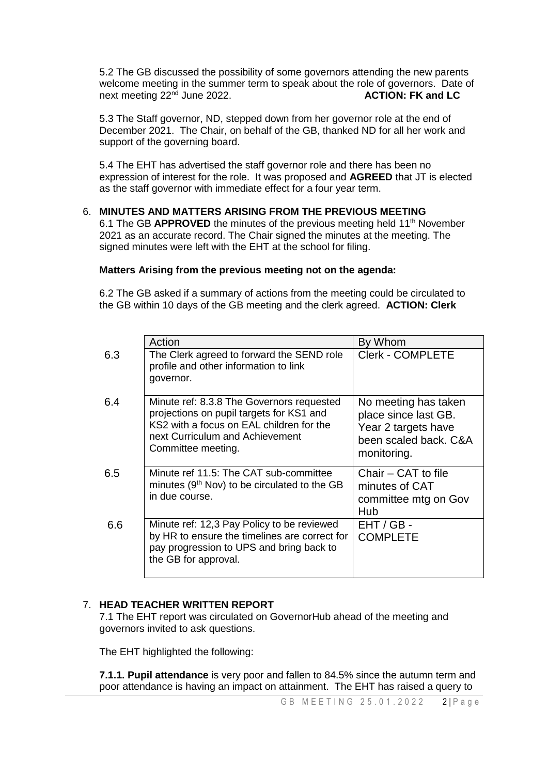5.2 The GB discussed the possibility of some governors attending the new parents welcome meeting in the summer term to speak about the role of governors. Date of next meeting 22<sup>nd</sup> June 2022. **ACTION: FK and LC** 

5.3 The Staff governor, ND, stepped down from her governor role at the end of December 2021. The Chair, on behalf of the GB, thanked ND for all her work and support of the governing board.

5.4 The EHT has advertised the staff governor role and there has been no expression of interest for the role. It was proposed and **AGREED** that JT is elected as the staff governor with immediate effect for a four year term.

### 6. **MINUTES AND MATTERS ARISING FROM THE PREVIOUS MEETING**

6.1 The GB **APPROVED** the minutes of the previous meeting held 11<sup>th</sup> November 2021 as an accurate record. The Chair signed the minutes at the meeting. The signed minutes were left with the EHT at the school for filing.

### **Matters Arising from the previous meeting not on the agenda:**

6.2 The GB asked if a summary of actions from the meeting could be circulated to the GB within 10 days of the GB meeting and the clerk agreed. **ACTION: Clerk**

|     | Action                                                                                                                                                                                     | By Whom                                                                                                     |
|-----|--------------------------------------------------------------------------------------------------------------------------------------------------------------------------------------------|-------------------------------------------------------------------------------------------------------------|
| 6.3 | The Clerk agreed to forward the SEND role<br>profile and other information to link<br>governor.                                                                                            | <b>Clerk - COMPLETE</b>                                                                                     |
| 6.4 | Minute ref: 8.3.8 The Governors requested<br>projections on pupil targets for KS1 and<br>KS2 with a focus on EAL children for the<br>next Curriculum and Achievement<br>Committee meeting. | No meeting has taken<br>place since last GB.<br>Year 2 targets have<br>been scaled back. C&A<br>monitoring. |
| 6.5 | Minute ref 11.5: The CAT sub-committee<br>minutes (9 <sup>th</sup> Nov) to be circulated to the GB<br>in due course.                                                                       | Chair - CAT to file<br>minutes of CAT<br>committee mtg on Gov<br>Hub                                        |
| 6.6 | Minute ref: 12,3 Pay Policy to be reviewed<br>by HR to ensure the timelines are correct for<br>pay progression to UPS and bring back to<br>the GB for approval.                            | $EHT / GB -$<br><b>COMPLETE</b>                                                                             |

# 7. **HEAD TEACHER WRITTEN REPORT**

7.1 The EHT report was circulated on GovernorHub ahead of the meeting and governors invited to ask questions.

The EHT highlighted the following:

**7.1.1. Pupil attendance** is very poor and fallen to 84.5% since the autumn term and poor attendance is having an impact on attainment. The EHT has raised a query to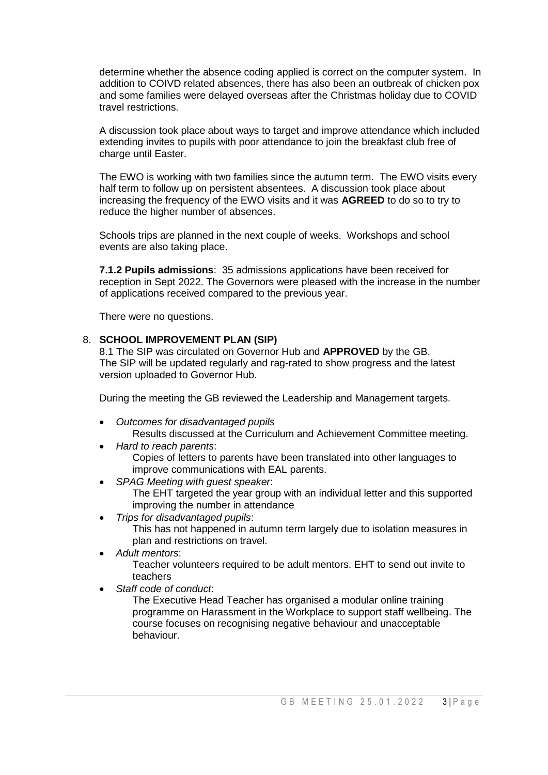determine whether the absence coding applied is correct on the computer system. In addition to COIVD related absences, there has also been an outbreak of chicken pox and some families were delayed overseas after the Christmas holiday due to COVID travel restrictions.

A discussion took place about ways to target and improve attendance which included extending invites to pupils with poor attendance to join the breakfast club free of charge until Easter.

The EWO is working with two families since the autumn term. The EWO visits every half term to follow up on persistent absentees. A discussion took place about increasing the frequency of the EWO visits and it was **AGREED** to do so to try to reduce the higher number of absences.

Schools trips are planned in the next couple of weeks. Workshops and school events are also taking place.

**7.1.2 Pupils admissions**: 35 admissions applications have been received for reception in Sept 2022. The Governors were pleased with the increase in the number of applications received compared to the previous year.

There were no questions.

### 8. **SCHOOL IMPROVEMENT PLAN (SIP)**

8.1 The SIP was circulated on Governor Hub and **APPROVED** by the GB. The SIP will be updated regularly and rag-rated to show progress and the latest version uploaded to Governor Hub.

During the meeting the GB reviewed the Leadership and Management targets.

- *Outcomes for disadvantaged pupils* Results discussed at the Curriculum and Achievement Committee meeting.
- *Hard to reach parents*: Copies of letters to parents have been translated into other languages to improve communications with EAL parents.
- *SPAG Meeting with guest speaker*:

The EHT targeted the year group with an individual letter and this supported improving the number in attendance

*Trips for disadvantaged pupils*:

This has not happened in autumn term largely due to isolation measures in plan and restrictions on travel.

*Adult mentors*:

Teacher volunteers required to be adult mentors. EHT to send out invite to teachers

*Staff code of conduct*:

The Executive Head Teacher has organised a modular online training programme on Harassment in the Workplace to support staff wellbeing. The course focuses on recognising negative behaviour and unacceptable behaviour.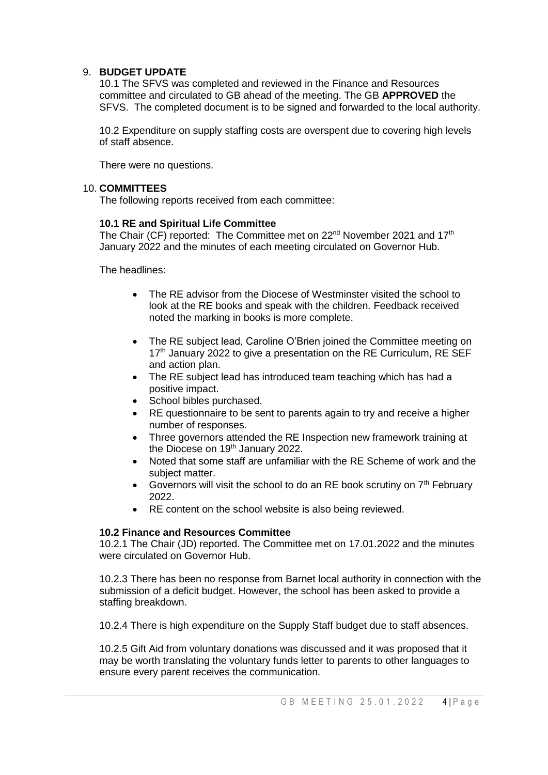# 9. **BUDGET UPDATE**

10.1 The SFVS was completed and reviewed in the Finance and Resources committee and circulated to GB ahead of the meeting. The GB **APPROVED** the SFVS. The completed document is to be signed and forwarded to the local authority.

10.2 Expenditure on supply staffing costs are overspent due to covering high levels of staff absence.

There were no questions.

### 10. **COMMITTEES**

The following reports received from each committee:

# **10.1 RE and Spiritual Life Committee**

The Chair (CF) reported: The Committee met on 22<sup>nd</sup> November 2021 and 17<sup>th</sup> January 2022 and the minutes of each meeting circulated on Governor Hub.

The headlines:

- The RE advisor from the Diocese of Westminster visited the school to look at the RE books and speak with the children. Feedback received noted the marking in books is more complete.
- The RE subject lead, Caroline O'Brien joined the Committee meeting on  $17<sup>th</sup>$  January 2022 to give a presentation on the RE Curriculum, RE SEF and action plan.
- The RE subject lead has introduced team teaching which has had a positive impact.
- School bibles purchased.
- RE questionnaire to be sent to parents again to try and receive a higher number of responses.
- Three governors attended the RE Inspection new framework training at the Diocese on 19<sup>th</sup> January 2022.
- Noted that some staff are unfamiliar with the RE Scheme of work and the subject matter.
- Governors will visit the school to do an RE book scrutiny on  $7<sup>th</sup>$  February 2022.
- RE content on the school website is also being reviewed.

# **10.2 Finance and Resources Committee**

10.2.1 The Chair (JD) reported. The Committee met on 17.01.2022 and the minutes were circulated on Governor Hub.

10.2.3 There has been no response from Barnet local authority in connection with the submission of a deficit budget. However, the school has been asked to provide a staffing breakdown.

10.2.4 There is high expenditure on the Supply Staff budget due to staff absences.

10.2.5 Gift Aid from voluntary donations was discussed and it was proposed that it may be worth translating the voluntary funds letter to parents to other languages to ensure every parent receives the communication.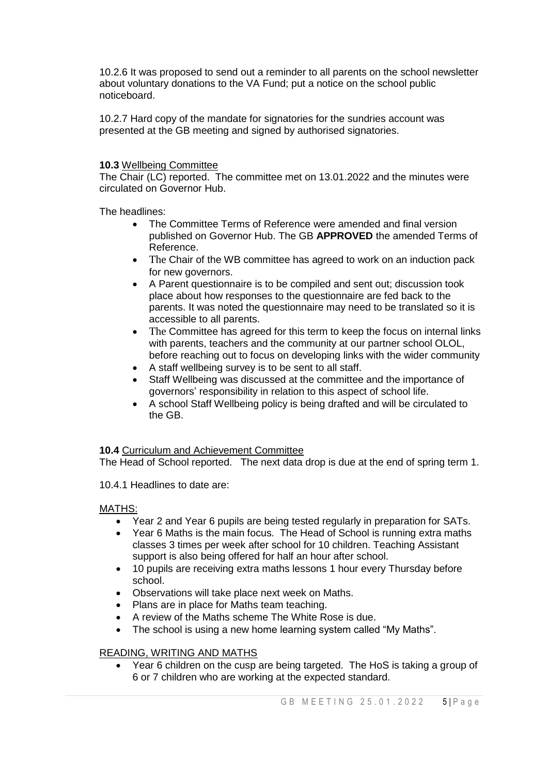10.2.6 It was proposed to send out a reminder to all parents on the school newsletter about voluntary donations to the VA Fund; put a notice on the school public noticeboard.

10.2.7 Hard copy of the mandate for signatories for the sundries account was presented at the GB meeting and signed by authorised signatories.

# **10.3** Wellbeing Committee

The Chair (LC) reported. The committee met on 13.01.2022 and the minutes were circulated on Governor Hub.

The headlines:

- The Committee Terms of Reference were amended and final version published on Governor Hub. The GB **APPROVED** the amended Terms of Reference.
- The Chair of the WB committee has agreed to work on an induction pack for new governors.
- A Parent questionnaire is to be compiled and sent out; discussion took place about how responses to the questionnaire are fed back to the parents. It was noted the questionnaire may need to be translated so it is accessible to all parents.
- The Committee has agreed for this term to keep the focus on internal links with parents, teachers and the community at our partner school OLOL, before reaching out to focus on developing links with the wider community
- A staff wellbeing survey is to be sent to all staff.
- Staff Wellbeing was discussed at the committee and the importance of governors' responsibility in relation to this aspect of school life.
- A school Staff Wellbeing policy is being drafted and will be circulated to the GB.

# **10.4** Curriculum and Achievement Committee

The Head of School reported. The next data drop is due at the end of spring term 1.

10.4.1 Headlines to date are:

# MATHS:

- Year 2 and Year 6 pupils are being tested regularly in preparation for SATs.
- Year 6 Maths is the main focus. The Head of School is running extra maths classes 3 times per week after school for 10 children. Teaching Assistant support is also being offered for half an hour after school.
- 10 pupils are receiving extra maths lessons 1 hour every Thursday before school.
- Observations will take place next week on Maths.
- Plans are in place for Maths team teaching.
- A review of the Maths scheme The White Rose is due.
- The school is using a new home learning system called "My Maths".

# READING, WRITING AND MATHS

 Year 6 children on the cusp are being targeted. The HoS is taking a group of 6 or 7 children who are working at the expected standard.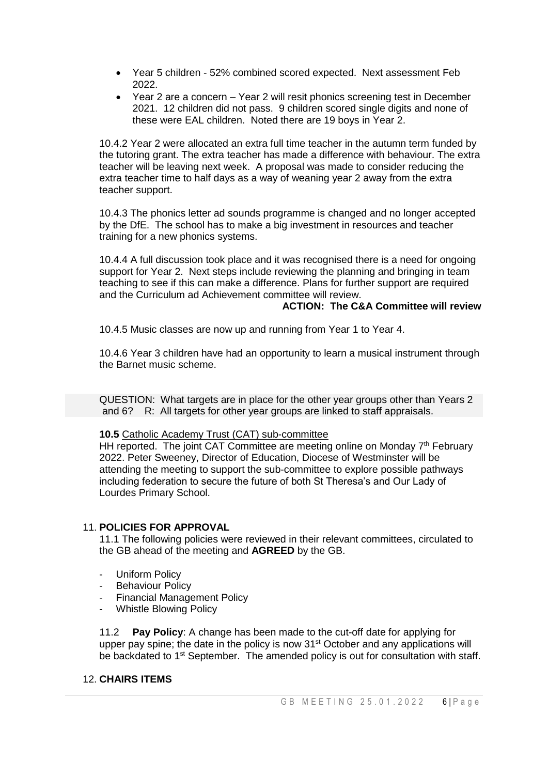- Year 5 children 52% combined scored expected. Next assessment Feb 2022.
- Year 2 are a concern Year 2 will resit phonics screening test in December 2021. 12 children did not pass. 9 children scored single digits and none of these were EAL children. Noted there are 19 boys in Year 2.

10.4.2 Year 2 were allocated an extra full time teacher in the autumn term funded by the tutoring grant. The extra teacher has made a difference with behaviour. The extra teacher will be leaving next week. A proposal was made to consider reducing the extra teacher time to half days as a way of weaning year 2 away from the extra teacher support.

10.4.3 The phonics letter ad sounds programme is changed and no longer accepted by the DfE. The school has to make a big investment in resources and teacher training for a new phonics systems.

10.4.4 A full discussion took place and it was recognised there is a need for ongoing support for Year 2. Next steps include reviewing the planning and bringing in team teaching to see if this can make a difference. Plans for further support are required and the Curriculum ad Achievement committee will review.

### **ACTION: The C&A Committee will review**

10.4.5 Music classes are now up and running from Year 1 to Year 4.

10.4.6 Year 3 children have had an opportunity to learn a musical instrument through the Barnet music scheme.

QUESTION: What targets are in place for the other year groups other than Years 2 and 6? R: All targets for other year groups are linked to staff appraisals.

# **10.5** Catholic Academy Trust (CAT) sub-committee

HH reported. The joint CAT Committee are meeting online on Monday  $7<sup>th</sup>$  February 2022. Peter Sweeney, Director of Education, Diocese of Westminster will be attending the meeting to support the sub-committee to explore possible pathways including federation to secure the future of both St Theresa's and Our Lady of Lourdes Primary School.

# 11. **POLICIES FOR APPROVAL**

11.1 The following policies were reviewed in their relevant committees, circulated to the GB ahead of the meeting and **AGREED** by the GB.

- **Uniform Policy**
- Behaviour Policy
- Financial Management Policy
- Whistle Blowing Policy

11.2 **Pay Policy**: A change has been made to the cut-off date for applying for upper pay spine; the date in the policy is now 31<sup>st</sup> October and any applications will be backdated to  $1<sup>st</sup>$  September. The amended policy is out for consultation with staff.

#### 12. **CHAIRS ITEMS**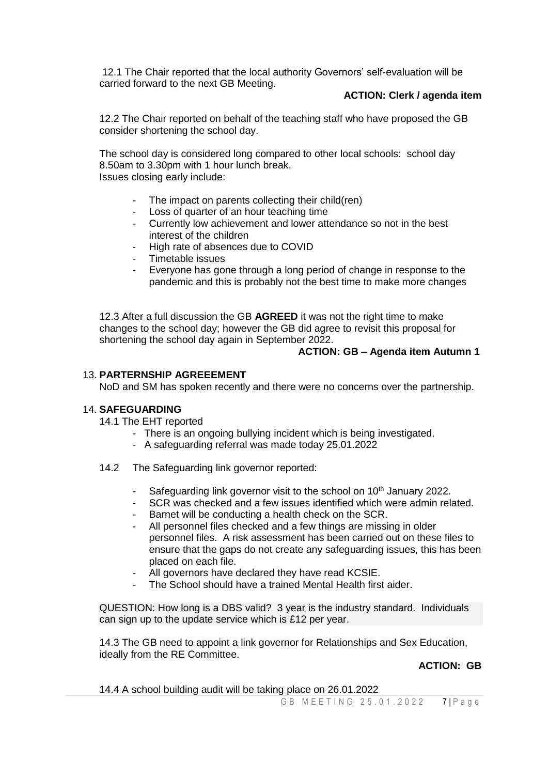12.1 The Chair reported that the local authority Governors' self-evaluation will be carried forward to the next GB Meeting.

# **ACTION: Clerk / agenda item**

12.2 The Chair reported on behalf of the teaching staff who have proposed the GB consider shortening the school day.

The school day is considered long compared to other local schools: school day 8.50am to 3.30pm with 1 hour lunch break. Issues closing early include:

- The impact on parents collecting their child(ren)<br>- Loss of quarter of an hour teaching time
- Loss of quarter of an hour teaching time
- Currently low achievement and lower attendance so not in the best interest of the children
- High rate of absences due to COVID
- Timetable issues
- Everyone has gone through a long period of change in response to the pandemic and this is probably not the best time to make more changes

12.3 After a full discussion the GB **AGREED** it was not the right time to make changes to the school day; however the GB did agree to revisit this proposal for shortening the school day again in September 2022.

### **ACTION: GB – Agenda item Autumn 1**

### 13. **PARTERNSHIP AGREEEMENT**

NoD and SM has spoken recently and there were no concerns over the partnership.

#### 14. **SAFEGUARDING**

- 14.1 The EHT reported
	- There is an ongoing bullying incident which is being investigated.
	- A safeguarding referral was made today 25.01.2022
- 14.2 The Safeguarding link governor reported:
	- Safeguarding link governor visit to the school on 10<sup>th</sup> January 2022.
	- SCR was checked and a few issues identified which were admin related.
	- Barnet will be conducting a health check on the SCR.
	- All personnel files checked and a few things are missing in older personnel files. A risk assessment has been carried out on these files to ensure that the gaps do not create any safeguarding issues, this has been placed on each file.
	- All governors have declared they have read KCSIE.
	- The School should have a trained Mental Health first aider.

QUESTION: How long is a DBS valid? 3 year is the industry standard. Individuals can sign up to the update service which is £12 per year.

14.3 The GB need to appoint a link governor for Relationships and Sex Education, ideally from the RE Committee.

# **ACTION: GB**

14.4 A school building audit will be taking place on 26.01.2022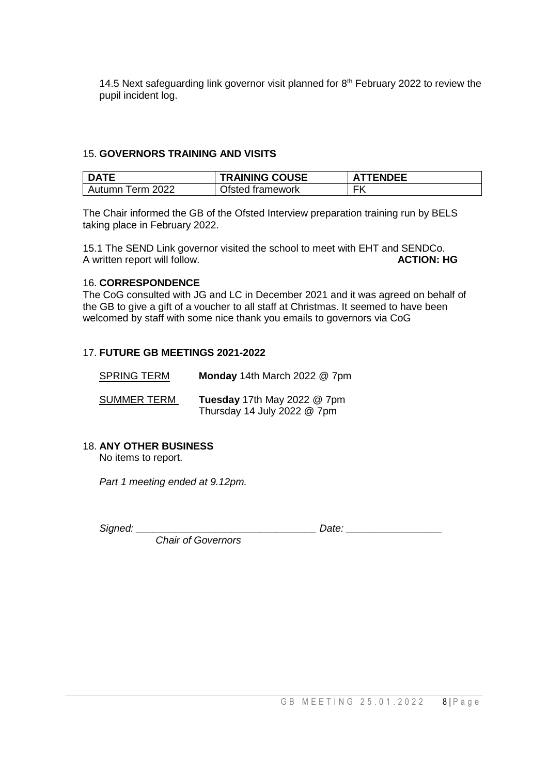14.5 Next safeguarding link governor visit planned for  $8<sup>th</sup>$  February 2022 to review the pupil incident log.

# 15. **GOVERNORS TRAINING AND VISITS**

| I DATE           | <b>TRAINING COUSE</b> | <b>ATTENDEE</b> |
|------------------|-----------------------|-----------------|
| Autumn Term 2022 | Ofsted framework      | FK              |

The Chair informed the GB of the Ofsted Interview preparation training run by BELS taking place in February 2022.

15.1 The SEND Link governor visited the school to meet with EHT and SENDCo.<br>A written report will follow. A written report will follow.

# 16. **CORRESPONDENCE**

The CoG consulted with JG and LC in December 2021 and it was agreed on behalf of the GB to give a gift of a voucher to all staff at Christmas. It seemed to have been welcomed by staff with some nice thank you emails to governors via CoG

# 17. **FUTURE GB MEETINGS 2021-2022**

| <b>SPRING TERM</b> | Monday 14th March 2022 @ 7pm                               |
|--------------------|------------------------------------------------------------|
| <b>SUMMER TERM</b> | Tuesday 17th May 2022 @ 7pm<br>Thursday 14 July 2022 @ 7pm |

# 18. **ANY OTHER BUSINESS**

No items to report.

*Part 1 meeting ended at 9.12pm.* 

Signed: **Signed:**  $\Box$ 

 *Chair of Governors*